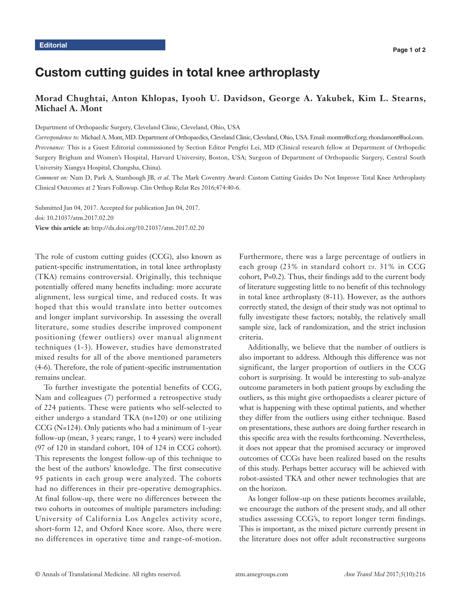# Custom cutting guides in total knee arthroplasty

## **Morad Chughtai, Anton Khlopas, Iyooh U. Davidson, George A. Yakubek, Kim L. Stearns, Michael A. Mont**

Department of Orthopaedic Surgery, Cleveland Clinic, Cleveland, Ohio, USA

*Correspondence to:* Michael A. Mont, MD. Department of Orthopaedics, Cleveland Clinic, Cleveland, Ohio, USA. Email: montm@ccf.org; rhondamont@aol.com. *Provenance:* This is a Guest Editorial commissioned by Section Editor Pengfei Lei, MD (Clinical research fellow at Department of Orthopedic Surgery Brigham and Women's Hospital, Harvard University, Boston, USA; Surgeon of Department of Orthopaedic Surgery, Central South University Xiangya Hospital, Changsha, China).

*Comment on:* Nam D, Park A, Stambough JB, *et al*. The Mark Coventry Award: Custom Cutting Guides Do Not Improve Total Knee Arthroplasty Clinical Outcomes at 2 Years Followup. Clin Orthop Relat Res 2016;474:40-6.

Submitted Jan 04, 2017. Accepted for publication Jan 04, 2017. doi: 10.21037/atm.2017.02.20 **View this article at:** http://dx.doi.org/10.21037/atm.2017.02.20

The role of custom cutting guides (CCG), also known as patient-specific instrumentation, in total knee arthroplasty (TKA) remains controversial. Originally, this technique potentially offered many benefits including: more accurate alignment, less surgical time, and reduced costs. It was hoped that this would translate into better outcomes and longer implant survivorship. In assessing the overall literature, some studies describe improved component positioning (fewer outliers) over manual alignment techniques (1-3). However, studies have demonstrated mixed results for all of the above mentioned parameters (4-6). Therefore, the role of patient-specific instrumentation remains unclear.

To further investigate the potential benefits of CCG, Nam and colleagues (7) performed a retrospective study of 224 patients. These were patients who self-selected to either undergo a standard TKA (n=120) or one utilizing CCG (N=124). Only patients who had a minimum of 1-year follow-up (mean, 3 years; range, 1 to 4 years) were included (97 of 120 in standard cohort, 104 of 124 in CCG cohort). This represents the longest follow-up of this technique to the best of the authors' knowledge. The first consecutive 95 patients in each group were analyzed. The cohorts had no differences in their pre-operative demographics. At final follow-up, there were no differences between the two cohorts in outcomes of multiple parameters including: University of California Los Angeles activity score, short-form 12, and Oxford Knee score. Also, there were no differences in operative time and range-of-motion.

Furthermore, there was a large percentage of outliers in each group (23% in standard cohort *vs.* 31% in CCG cohort, P=0.2). Thus, their findings add to the current body of literature suggesting little to no benefit of this technology in total knee arthroplasty (8-11). However, as the authors correctly stated, the design of their study was not optimal to fully investigate these factors; notably, the relatively small sample size, lack of randomization, and the strict inclusion criteria.

Additionally, we believe that the number of outliers is also important to address. Although this difference was not significant, the larger proportion of outliers in the CCG cohort is surprising. It would be interesting to sub-analyze outcome parameters in both patient groups by excluding the outliers, as this might give orthopaedists a clearer picture of what is happening with these optimal patients, and whether they differ from the outliers using either technique. Based on presentations, these authors are doing further research in this specific area with the results forthcoming. Nevertheless, it does not appear that the promised accuracy or improved outcomes of CCGs have been realized based on the results of this study. Perhaps better accuracy will be achieved with robot-assisted TKA and other newer technologies that are on the horizon.

As longer follow-up on these patients becomes available, we encourage the authors of the present study, and all other studies assessing CCG's, to report longer term findings. This is important, as the mixed picture currently present in the literature does not offer adult reconstructive surgeons